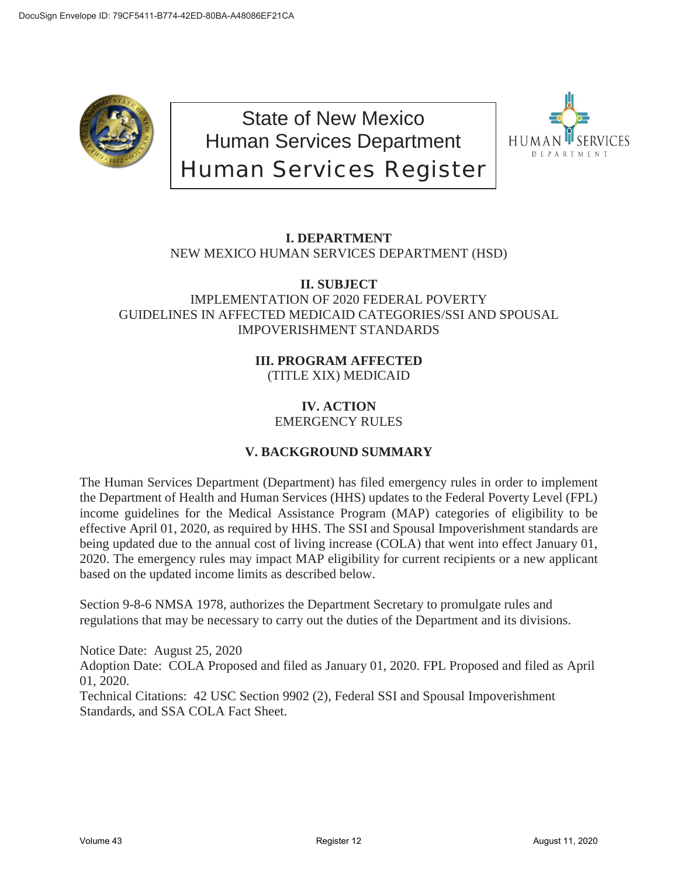

State of New Mexico Human Services Department Human Services Register



# **I. DEPARTMENT**

NEW MEXICO HUMAN SERVICES DEPARTMENT (HSD)

# **II. SUBJECT** IMPLEMENTATION OF 2020 FEDERAL POVERTY GUIDELINES IN AFFECTED MEDICAID CATEGORIES/SSI AND SPOUSAL IMPOVERISHMENT STANDARDS

# **III. PROGRAM AFFECTED** (TITLE XIX) MEDICAID

#### **IV. ACTION** EMERGENCY RULES

# **V. BACKGROUND SUMMARY**

The Human Services Department (Department) has filed emergency rules in order to implement the Department of Health and Human Services (HHS) updates to the Federal Poverty Level (FPL) income guidelines for the Medical Assistance Program (MAP) categories of eligibility to be effective April 01, 2020, as required by HHS. The SSI and Spousal Impoverishment standards are being updated due to the annual cost of living increase (COLA) that went into effect January 01, 2020. The emergency rules may impact MAP eligibility for current recipients or a new applicant based on the updated income limits as described below.

Section 9-8-6 NMSA 1978, authorizes the Department Secretary to promulgate rules and regulations that may be necessary to carry out the duties of the Department and its divisions.

Notice Date: August 25, 2020 Adoption Date: COLA Proposed and filed as January 01, 2020. FPL Proposed and filed as April 01, 2020.

Technical Citations: 42 USC Section 9902 (2), Federal SSI and Spousal Impoverishment Standards, and SSA COLA Fact Sheet.